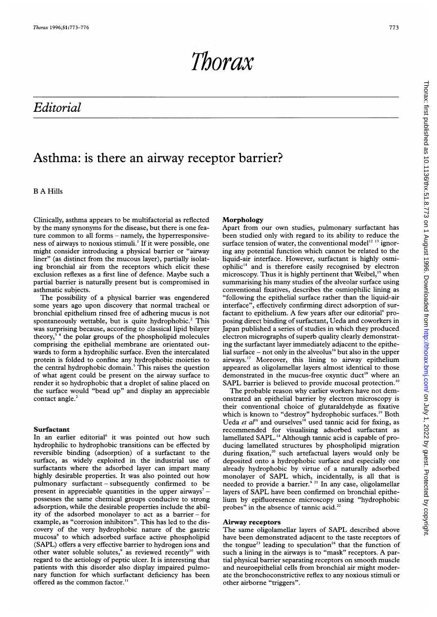Thorax

# Editorial

## Asthma: is there an airway receptor barrier?

B A Hills

Clinically, asthma appears to be multifactorial as reflected by the many synonyms for the disease, but there is one feature common to all forms - namely, the hyperresponsiveness of airways to noxious stimuli.' If it were possible, one might consider introducing a physical barrier or "airway liner" (as distinct from the mucous layer), partially isolating bronchial air from the receptors which elicit these exclusion reflexes as a first line of defence. Maybe such <sup>a</sup> partial barrier is naturally present but is compromised in asthmatic subjects.

The possibility of a physical barrier was engendered some years ago upon discovery that normal tracheal or bronchial epithelium rinsed free of adhering mucus is not spontaneously wettable, but is quite hydrophobic.<sup>2</sup> This was surprising because, according to classical lipid bilayer theory,<sup>34</sup> the polar groups of the phospholipid molecules comprising the epithelial membrane are orientated outwards to form a hydrophilic surface. Even the intercalated protein is folded to confine any hydrophobic moieties to the central hydrophobic domain.<sup>5</sup> This raises the question of what agent could be present on the airway surface to render it so hydrophobic that a droplet of saline placed on the surface would "bead up" and display an appreciable contact angle.<sup>2</sup>

## Surfactant

In an earlier editorial<sup>6</sup> it was pointed out how such hydrophilic to hydrophobic transitions can be effected by reversible binding (adsorption) of a surfactant to the surface, as widely exploited in the industrial use of surfactants where the adsorbed layer can impart many highly desirable properties. It was also pointed out how pulmonary surfactant - subsequently confirmed to be present in appreciable quantities in the upper airways<sup>7</sup> – possesses the same chemical groups conducive to strong adsorption, while the desirable properties include the ability of the adsorbed monolayer to act as a barrier- for example, as "corrosion inhibitors". This has led to the discovery of the very hydrophobic nature of the gastric mucosa<sup>8</sup> to which adsorbed surface active phospholipid (SAPL) offers a very effective barrier to hydrogen ions and other water soluble solutes,<sup>9</sup> as reviewed recently<sup>10</sup> with regard to the aetiology of peptic ulcer. It is interesting that patients with this disorder also display impaired pulmonary function for which surfactant deficiency has been offered as the common factor.<sup>11</sup>

## Morphology

Apart from our own studies, pulmonary surfactant has been studied only with regard to its ability to reduce the surface tension of water, the conventional model<sup>12</sup> <sup>13</sup> ignoring any potential function which cannot be related to the liquid-air interface. However, surfactant is highly osmiophilic'4 and is therefore easily recognised by electron microscopy. Thus it is highly pertinent that Weibel,<sup>15</sup> when summarising his many studies of the alveolar surface using conventional fixatives, describes the osmiophilic lining as "following the epithelial surface rather than the liquid-air interface", effectively confirming direct adsorption of surfactant to epithelium. A few years after our editorial<sup>6</sup> proposing direct binding of surfactant, Ueda and coworkers in Japan published a series of studies in which they produced electron micrographs of superb quality clearly demonstrating the surfactant layer immediately adjacent to the epithelial surface  $-$  not only in the alveolus<sup>16</sup> but also in the upper airways."' Moreover, this lining to airway epithelium appeared as oligolamellar layers almost identical to those demonstrated in the mucus-free oxyntic duct'8 where an SAPL barrier is believed to provide mucosal protection.<sup>10</sup>

The probable reason why earlier workers have not demonstrated an epithelial barrier by electron microscopy is their conventional choice of glutaraldehyde as fixative which is known to "destroy" hydrophobic surfaces.<sup>19</sup> Both Ueda *et al*<sup>16</sup> and ourselves<sup>18</sup> used tannic acid for fixing, as recommended for visualising adsorbed surfactant as lamellated SAPL.<sup>14</sup> Although tannic acid is capable of producing lamellated structures by phospholipid migration during fixation,<sup>20</sup> such artefactual layers would only be deposited onto a hydrophobic surface and especially one already hydrophobic by virtue of a naturally adsorbed monolayer of SAPL which, incidentally, is all that is needed to provide a barrier.<sup>921</sup> In any case, oligolamellar layers of SAPL have been confirmed on bronchial epithelium by epifluoresence microscopy using "hydrophobic probes" in the absence of tannic acid.<sup>22</sup>

#### Airway receptors

The same oligolamellar layers of SAPL described above have been demonstrated adjacent to the taste receptors of the tongue<sup>23</sup> leading to speculation<sup>24</sup> that the function of such a lining in the airways is to "mask" receptors. A partial physical barrier separating receptors on smooth muscle and neuroepithelial cells from bronchial air might moderate the bronchoconstrictive reflex to any noxious stimuli or other airborne "triggers".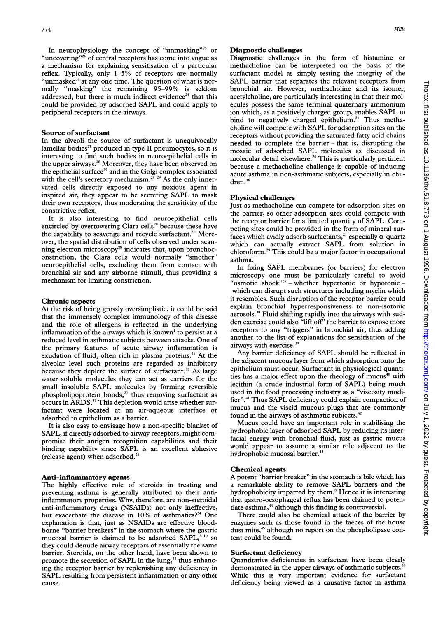In neurophysiology the concept of "unmasking"<sup>25</sup> or "uncovering"<sup>26</sup> of central receptors has come into vogue as a mechanism for explaining sensitisation of a particular reflex. Typically, only 1-5% of receptors are normally "unmasked" at any one time. The question of what is normally "masking" the remaining 95-99% is seldom addressed, but there is much indirect evidence<sup>24</sup> that this could be provided by adsorbed SAPL and could apply to peripheral receptors in the airways.

#### Source of surfactant

In the alveoli the source of surfactant is unequivocally lamellar bodies<sup>27</sup> produced in type II pneumocytes, so it is interesting to find such bodies in neuroepithelial cells in the upper airways.<sup>28</sup> Moreover, they have been observed on the epithelial surface<sup>29</sup> and in the Golgi complex associated with the cell's secretory mechanism.<sup>28, 29</sup> As the only innervated cells directly exposed to any noxious agent in inspired air, they appear to be secreting SAPL to mask their own receptors, thus moderating the sensitivity of the constrictive reflex.

It is also interesting to find neuroepithelial cells encircled by overtowering Clara cells<sup>28</sup> because these have the capability to scavenge and recycle surfactant.<sup>30</sup> Moreover, the spatial distribution of cells observed under scanning electron microscopy<sup>28</sup> indicates that, upon bronchoconstriction, the Clara cells would normally "smother" neuroepithelial cells, excluding them from contact with bronchial air and any airborne stimuli, thus providing a mechanism for limiting constriction.

#### Chronic aspects

At the risk of being grossly oversimplistic, it could be said that the immensely complex immunology of this disease and the role of allergens is reflected in the underlying inflammation of the airways which is known' to persist at <sup>a</sup> reduced level in asthmatic subjects between attacks. One of the primary features of acute airway inflammation is exudation of fluid, often rich in plasma proteins.<sup>31</sup> At the alveolar level such proteins are regarded as inhibitory because they deplete the surface of surfactant.<sup>32</sup> As large water soluble molecules they can act as carriers for the small insoluble SAPL molecules by forming reversible phospholipoprotein bonds,<sup>21</sup> thus removing surfactant as occurs in ARDS.<sup>33</sup> This depletion would arise whether surfactant were located at an air-aqueous interface or adsorbed to epithelium as a barrier.

It is also easy to envisage how <sup>a</sup> non-specific blanket of SAPL, if directly adsorbed to airway receptors, might compromise their antigen recognition capabilities and their binding capability since SAPL is an excellent abhesive (release agent) when adsorbed.

#### Anti-inflammatory agents

The highly effective role of steroids in treating and preventing asthma is generally attributed to their antiinflammatory properties. Why, therefore, are non-steroidal anti-inflammatory drugs (NSAIDs) not only ineffective, but exacerbate the disease in  $10\%$  of asthmatics?<sup>34</sup> One explanation is that, just as NSAIDs are effective bloodborne "barrier breakers" in the stomach where the gastric mucosal barrier is claimed to be adsorbed SAPL,<sup>8 10</sup> so they could denude airway receptors of essentially the same barrier. Steroids, on the other hand, have been shown to promote the secretion of SAPL in the lung,<sup>35</sup> thus enhancing the receptor barrier by replenishing any deficiency in SAPL resulting from persistent inflammation or any other cause.

#### Diagnostic challenges

Diagnostic challenges in the form of histamine or methacholine can be interpreted on the basis of the surfactant model as simply testing the integrity of the SAPL barrier that separates the relevant receptors from bronchial air. However, methacholine and its isomer, acetylcholine, are particularly interesting in that their molecules possess the same terminal quaternary ammonium ion which, as <sup>a</sup> positively charged group, enables SAPL to bind to negatively charged epithelium.<sup>21</sup> Thus methacholine will compete with SAPL for adsorption sites on the receptors without providing the saturated fatty acid chains needed to complete the barrier - that is, disrupting the mosaic of adsorbed SAPL molecules as discussed in molecular detail elsewhere.<sup>24</sup> This is particularly pertinent because a methacholine challenge is capable of inducing acute asthma in non-asthmatic subjects, especially in children.<sup>36</sup>

## Physical challenges

Just as methacholine can compete for adsorption sites on the barrier, so other adsorption sites could compete with the receptor barrier for <sup>a</sup> limited quantity of SAPL. Competing sites could be provided in the form of mineral surfaces which avidly adsorb surfactants,<sup>21</sup> especially  $\alpha$ -quartz which can actually extract SAPL from solution in chloroform.29 This could be a major factor in occupational asthma.

In fixing SAPL membranes (or barriers) for electron microscopy one must be particularly careful to avoid "osmotic shock"<sup>37</sup> – whether hypertonic or hypotonic – which can disrupt such structures including myelin which it resembles. Such disruption of the receptor barrier could explain bronchial hyperresponsiveness to non-isotonic aerosols.38 Fluid shifting rapidly into the airways with sudden exercise could also "lift off' the barrier to expose more receptors to any "triggers" in bronchial air, thus adding another to the list of explanations for sensitisation of the airways with exercise.<sup>3</sup>

Any barrier deficiency of SAPL should be reflected in the adjacent mucous layer from which adsorption onto the epithelium must occur. Surfactant in physiological quantities has a major effect upon the rheology of mucus<sup>40</sup> with lecithin (a crude industrial form of SAPL) being much used in the food processing industry as a "viscosity modifier".4' Thus SAPL deficiency could explain compaction of mucus and the viscid mucous plugs that are commonly found in the airways of asthmatic subjects.<sup>42</sup>

Mucus could have an important role in stabilising the hydrophobic layer of adsorbed SAPL by reducing its interfacial energy with bronchial fluid, just as gastric mucus would appear to assume a similar role adjacent to the hydrophobic mucosal barrier.<sup>43</sup>

## Chemical agents

A potent "barrier breaker" in the stomach is bile which has <sup>a</sup> remarkable ability to remove SAPL barriers and the hydrophobicity imparted by them.<sup>8</sup> Hence it is interesting that gastro-oesophageal reflux has been claimed to potentiate asthma, $44$  although this finding is controversial.

There could also be chemical attack of the barrier by enzymes such as those found in the faeces of the house dust mite,<sup>45</sup> although no report on the phospholipase content could be found.

#### Surfactant deficiency

Quantitative deficiencies in surfactant have been clearly demonstrated in the upper airways of asthmatic subjects. While this is very important evidence for surfactant deficiency being viewed as a causative factor in asthma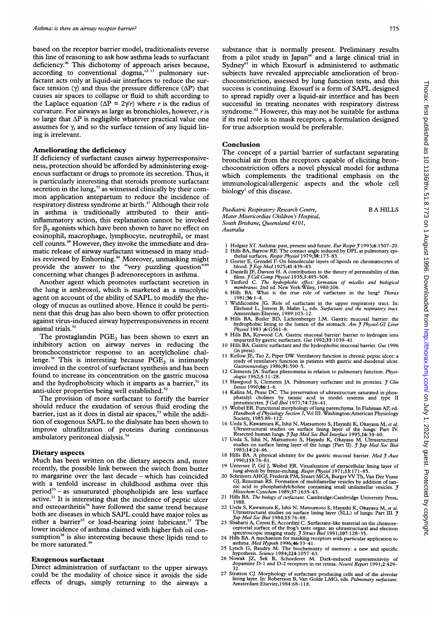based on the receptor barrier model, traditionalists reverse this line of reasoning to ask how asthma leads to surfactant deficiency.<sup>46</sup> This dichotomy of approach arises because, according to conventional dogma, $12^{13}$  pulmonary surfactant acts only at liquid-air interfaces to reduce the surface tension ( $\gamma$ ) and thus the pressure difference ( $\Delta P$ ) that causes air spaces to collapse or fluid to shift according to the Laplace equation ( $\Delta P = 2\gamma/r$ ) where r is the radius of curvature. For airways as large as bronchioles, however, <sup>r</sup> is so large that  $\Delta P$  is negligible whatever practical value one assumes for  $\gamma$ , and so the surface tension of any liquid lining is irrelevant.

## Ameliorating the deficiency

If deficiency of surfactant causes airway hyperresponsiveness, protection should be afforded by administering exogenous surfactant or drugs to promote its secretion. Thus, it is particularly interesting that steroids promote surfactant secretion in the lung,<sup>35</sup> as witnessed clinically by their common application antepartum to reduce the incidence of respiratory distress syndrome at birth.<sup>47</sup> Although their role in asthma is traditionally attributed to their antiinflammatory action, this explanation cannot be invoked for  $\beta_2$  agonists which have been shown to have no effect on eosinophil, macrophage, lymphocyte, neutrophil, or mast cell counts.48 However, they invoke the immediate and dramatic release of airway surfactant witnessed in many studies reviewed by Enhorning.<sup>46</sup> Moreover, unmasking might provide the answer to the "very puzzling question" concerning what changes  $\beta$  adrenoreceptors in asthma.

Another agent which promotes surfactant secretion in the lung is ambroxol, which is marketed as <sup>a</sup> mucolytic agent on account of the ability of SAPL to modify the rheology of mucus as outlined above. Hence it could be pertinent that this drug has also been shown to offer protection against virus-induced airway hyperresponsiveness in recent animal trials.<sup>50</sup>

The prostaglandin  $PGE<sub>2</sub>$  has been shown to exert an inhibitory action on airway nerves in reducing the bronchoconstrictor response to an acetylcholine challenge.<sup>36</sup> This is interesting because  $PGE<sub>2</sub>$  is intimately involved in the control of surfactant synthesis and has been found to increase its concentration on the gastric mucosa and the hydrophobicity which it imparts as a barrier,<sup>51</sup> its anti-ulcer properties being well established.<sup>52</sup>

The provision of more surfactant to fortify the barrier should reduce the exudation of serous fluid eroding the barrier, just as it does in distal air spaces,<sup>53</sup> while the addition of exogenous SAPL to the dialysate has been shown to improve ultrafiltration of proteins during continuous ambulatory peritoneal dialysis.<sup>54</sup>

## Dietary aspects

Much has been written on the dietary aspects and, more recently, the possible link between the switch from butter to margarine over the last decade - which has coincided with a tenfold increase in childhood asthma over this period<sup>55</sup> - as unsaturated phospholipids are less surface active. $21$  It is interesting that the incidence of peptic ulcer and osteoarthritis<sup>56</sup> have followed the same trend because both are diseases in which SAPL could have major roles as either a barrier<sup>10</sup> or load-bearing joint lubricant.<sup>57</sup> The lower incidence of asthma claimed with higher fish oil consumption<sup>58</sup> is also interesting because these lipids tend to be more saturated.<sup>59</sup>

#### Exogenous surfactant

Direct administration of surfactant to the upper airways could be the modality of choice since it avoids the side effects of drugs, simply returning to the airways <sup>a</sup> B A HILLS

substance that is normally present. Preliminary results from a pilot study in Japan<sup>oo</sup> and a large clinical trial in Sydney $6\overline{1}$  in which Exosurf is administered to asthmatic subjects have revealed appreciable amelioration of bronchoconstriction, assessed by lung function tests, and this success is continuing. Exosurf is <sup>a</sup> form of SAPL designed to spread rapidly over a liquid-air interface and has been successful in treating neonates with respiratory distress syndrome.<sup>62</sup> However, this may not be suitable for asthma if its real role is to mask receptors; a formulation designed for true adsorption would be preferable.

#### Conclusion

The concept of <sup>a</sup> partial barrier of surfactant separating bronchial air from the receptors capable of eliciting bronchoconstriction offers a novel physical model for asthma which complements the traditional emphasis on the immunological/allergenic aspects and the whole cell biology' of this disease.

Paediatric Respiratory Research Centre, Mater Misericordiae Children 's Hospital, South Brisbane, Queensland 4101, Australia

- 
- 
- 1 Holgate ST. Asthma: past, present and future. Eur Respir J 1993;6:1507-20.<br>2 Hills BA, Barrow RE. The contact angle induced by DPL at pulmonary epi-<br>the illa surfaces. Respir Physiol 1979;38:173-83.<br>3 Gorter E, Grendel
- films. J Cell Comp Physiol 1935;5:495–508.<br>5 Tanford C. The hydrophobic effect: formation of micelles and biological<br>membranes. 2nd ed. New York:Wiley, 1980:206.
- 6 Hills BA. What is the true role of surfactant in the lung? Thorax
- $\frac{1}{1981}$ ;36: 1-4. 7 Widdicombe JG. Role of surfactant in the upper respiratory tract. In:<br>Ekelund L, Jonson B, Malm L, eds. Surfactant and the respiratory tract.<br>Amsterdam:Elsevier, 1989:103-12.<br>8 Hills BA, Butler BD, Lichtenberger LM. Gast
- hydrophobic lining to the lumen of the stomach. Am J Physiol: GI Liver Physiol 1983 ;6:G561-8.
- 9 Hills BA, Kirwood CA. Gastric mucosal barrier: barrier to hydrogen ions imparted by gastric surfactant. Gut 1992;33:1039-41.
- 10 Hills BA. Gastric surfactant and the hydrophobic mucosal barrier. Gut 1996
- (in press). II Kellow JE, Tao Z, Piper DW. Ventilatory function in chronic peptic ulcer: <sup>a</sup> study of ventilatory function in patients with gastric and duodenal ulcer.<br>Gastroenterology 1986;91:590–5.
- 12 Clements JA. Surface phenomena in relation to pulmonary function. *Physi-*<br> *ologist* 1962;5:11–28.
- 13 Hawgood S, Clements JA. Pulmonary surfactant and its proteins. *J Clin Invest* 1990;86:1–6.
- 14 Kalina M, Pease DC. The preservation of ultrastructure saturated in phos-<br>phatidyl cholines by tannic acid in model systems and type II<br>pneumocytes.  $J$  Cell Biol 1977;74:726-41.
- 15 Weibel ER. Functional morphology of lung parenchyma. In Fishman AP, ed. Handbook ofPhysiology Section 3, Vol III. Washington:American Physiology Society, 1985:89-112.
- <sup>16</sup> Ueda S, Kawamura K, Ishii N, Matsumoto S, Hayashi K, Okayasu M, et al.
- Ultrastructural studies on surface lining layer of the lungs: Part IV.<br>Resected human lungs. *J Jap Med Soc Biol Interface* 1995;16:34-60.<br>17 Ueda S, Ishii N, Matsumoto S, Hayashi K, Okayasu M. Ultrastructural<br>studies on s 1983;14:24-46.
- 18 Hills BA. A physical identity for the gastric mucosal barrier. Med  $\tilde{\jmath}$  Aust 1990;153:76-81.
- 
- 19 Untersee P, Gil J, Weibel ER. Visualization of extracellular lining layer of<br>lung alveoli by freeze-etching. *Respir Physiol* 1971;13:171-85.<br>20 Schrijvers AHGJ, Frederik PM, Stuart MCA, Burger VV Th, Van Der Vusse<br>GJ,
- 21 Hills BA. The biology of surfactant. Cambridge:Cambridge University Press, 1988.
- 22 Ueda S, Kawamura K, Ishii N, Matsumoto S, Hayashi K, Okayasu M Ultrastructural studies on surface lining layer (SLL) of lungs: Part III. J Jap Med Soc Biol 1984;15:76–88.
- 23 Sbabarti A, Ceresi E, Accordini C. Surfactant-like material on the chemore-
- ceptorial surface of the frog's taste organ: an ultrastructural and electron<br>spectroscopic imaging study. *J Struct Biol* 1991;107:128–35.<br>24 Hills BA. A mechanism for masking receptors with particular application to<br>asthm
- 
- 25 Lynch G, Baudry M. The biochemistry of memory: a new and specific<br>hypothesis. Science 1984;224:1057-63.<br>26 Nowak JZ, Sek B, Schorderet M. Dark-induced supersensitivity of<br>dopamine D-1 and D-2 receptors in rat retina. *N*
- 27 Stratton CJ. Morphology of surfactant producing cells and of the alveolar<br>lining layer. In: Robertson B, Van Golde LMG, eds. *Pulmonary surfactant.*<br>Amsterdam:Elsevier,1984:68-118.